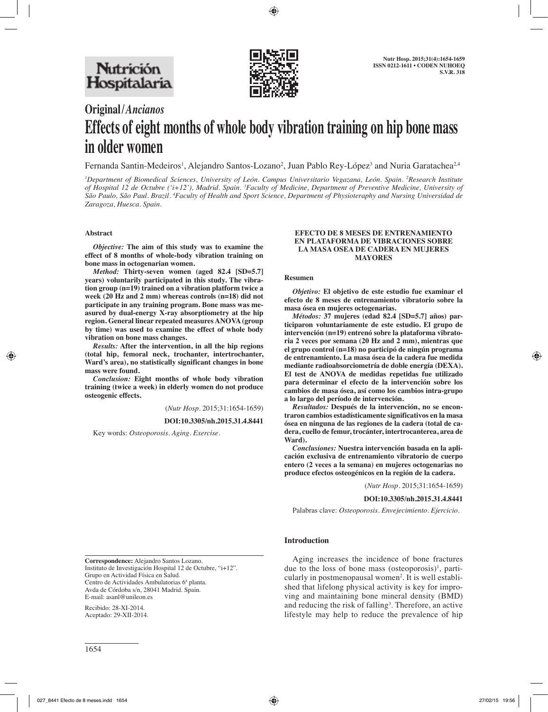

# **Original/***Ancianos* **Effects of eight months of whole body vibration training on hip bone mass in older women**

Fernanda Santin-Medeiros<sup>1</sup>, Alejandro Santos-Lozano<sup>2</sup>, Juan Pablo Rey-López<sup>3</sup> and Nuria Garatachea<sup>2,4</sup>

*1 Department of Biomedical Sciences, University of León. Campus Universitario Vegazana, León. Spain. 2 Research Institute of Hospital 12 de Octubre ('i+12'), Madrid. Spain. 3 Faculty of Medicine, Department of Preventive Medicine, University of*  São Paulo, São Paul. Brazil. <sup>4</sup>Faculty of Health and Sport Science, Department of Physioteraphy and Nursing Universidad de *Zaragoza, Huesca. Spain.*

## **Abstract**

*Objective:* **The aim of this study was to examine the effect of 8 months of whole-body vibration training on bone mass in octogenarian women.** 

*Method:* **Thirty-seven women (aged 82.4 [SD=5.7] years) voluntarily participated in this study. The vibration group (n=19) trained on a vibration platform twice a week (20 Hz and 2 mm) whereas controls (n=18) did not participate in any training program. Bone mass was measured by dual-energy X-ray absorptiometry at the hip region. General linear repeated measures ANOVA (group by time) was used to examine the effect of whole body vibration on bone mass changes.** 

*Results:* **After the intervention, in all the hip regions (total hip, femoral neck, trochanter, intertrochanter, Ward's area), no statistically significant changes in bone mass were found.** 

*Conclusion:* **Eight months of whole body vibration training (twice a week) in elderly women do not produce osteogenic effects.**

(*Nutr Hosp.* 2015;31:1654-1659)

**DOI:10.3305/nh.2015.31.4.8441**

Key words: *Osteoporosis. Aging. Exercise.*

#### **EFECTO DE 8 MESES DE ENTRENAMIENTO EN PLATAFORMA DE VIBRACIONES SOBRE LA MASA OSEA DE CADERA EN MUJERES MAYORES**

#### **Resumen**

*Objetivo:* **El objetivo de este estudio fue examinar el efecto de 8 meses de entrenamiento vibratorio sobre la masa ósea en mujeres octogenarias.** 

*Métodos:* **37 mujeres (edad 82.4 [SD=5.7] años) participaron voluntariamente de este estudio. El grupo de intervención (n=19) entrenó sobre la plataforma vibratoria 2 veces por semana (20 Hz and 2 mm), mientras que el grupo control (n=18) no participó de ningún programa de entrenamiento. La masa ósea de la cadera fue medida mediante radioabsorciometría de doble energía (DEXA). El test de ANOVA de medidas repetidas fue utilizado para determinar el efecto de la intervención sobre los cambios de masa ósea, así como los cambios intra-grupo a lo largo del período de intervención.** 

*Resultados:* **Después de la intervención, no se encontraron cambios estadísticamente significativos en la masa ósea en ninguna de las regiones de la cadera (total de cadera, cuello de femur, trocánter, intertrocanterea, area de Ward).**

*Conclusiones:* **Nuestra intervención basada en la aplicación exclusiva de entrenamiento vibratorio de cuerpo entero (2 veces a la semana) en mujeres octogenarias no produce efectos osteogénicos en la región de la cadera.**

(*Nutr Hosp.* 2015;31:1654-1659)

#### **DOI:10.3305/nh.2015.31.4.8441**

Palabras clave: *Osteoporosis. Envejecimiento. Ejercicio.*

## **Introduction**

**Correspondence:** Alejandro Santos Lozano. Instituto de Investigación Hospital 12 de Octubre, "i+12". Grupo en Actividad Física en Salud. Centro de Actividades Ambulatorias 6ª planta. Avda de Córdoba s/n, 28041 Madrid. Spain. E-mail: asanl@unileon.es

Recibido: 28-XI-2014. Aceptado: 29-XII-2014.

Aging increases the incidence of bone fractures due to the loss of bone mass (osteoporosis)<sup>1</sup>, particularly in postmenopausal women<sup>2</sup>. It is well established that lifelong physical activity is key for improving and maintaining bone mineral density (BMD) and reducing the risk of falling<sup>3</sup>. Therefore, an active lifestyle may help to reduce the prevalence of hip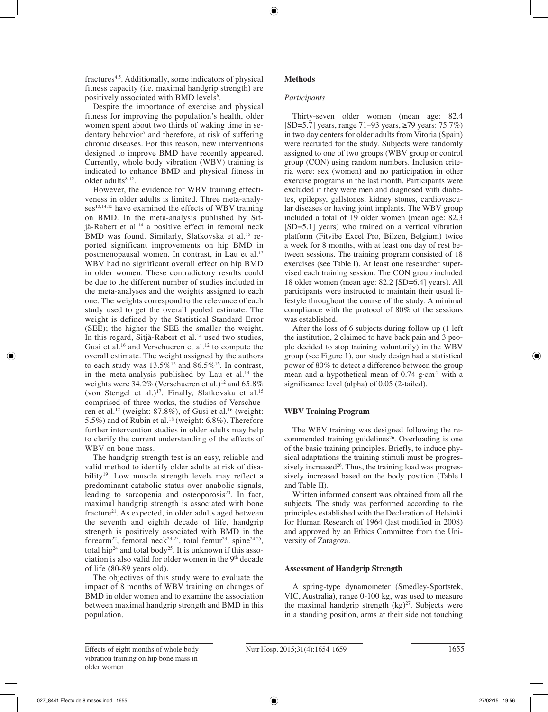fractures<sup>4,5</sup>. Additionally, some indicators of physical fitness capacity (i.e. maximal handgrip strength) are positively associated with BMD levels<sup>6</sup>.

Despite the importance of exercise and physical fitness for improving the population's health, older women spent about two thirds of waking time in sedentary behavior<sup>7</sup> and therefore, at risk of suffering chronic diseases. For this reason, new interventions designed to improve BMD have recently appeared. Currently, whole body vibration (WBV) training is indicated to enhance BMD and physical fitness in older adults $8-12$ .

However, the evidence for WBV training effectiveness in older adults is limited. Three meta-analyses<sup>13,14,15</sup> have examined the effects of WBV training on BMD. In the meta-analysis published by Sitjà-Rabert et al.14 a positive effect in femoral neck BMD was found. Similarly, Slatkovska et al.<sup>15</sup> reported significant improvements on hip BMD in postmenopausal women. In contrast, in Lau et al.<sup>13</sup> WBV had no significant overall effect on hip BMD in older women. These contradictory results could be due to the different number of studies included in the meta-analyses and the weights assigned to each one. The weights correspond to the relevance of each study used to get the overall pooled estimate. The weight is defined by the Statistical Standard Error (SEE); the higher the SEE the smaller the weight. In this regard, Sitjà-Rabert et al.<sup>14</sup> used two studies, Gusi et al.<sup>16</sup> and Verschueren et al.<sup>12</sup> to compute the overall estimate. The weight assigned by the authors to each study was  $13.5\%$ <sup>12</sup> and  $86.5\%$ <sup>16</sup>. In contrast, in the meta-analysis published by Lau et al. $13$  the weights were  $34.2\%$  (Verschueren et al.)<sup>12</sup> and  $65.8\%$ (von Stengel et al.)<sup>17</sup>. Finally, Slatkovska et al.<sup>15</sup> comprised of three works, the studies of Verschueren et al.<sup>12</sup> (weight: 87.8%), of Gusi et al.<sup>16</sup> (weight: 5.5%) and of Rubin et al.18 (weight: 6.8%). Therefore further intervention studies in older adults may help to clarify the current understanding of the effects of WBV on bone mass.

The handgrip strength test is an easy, reliable and valid method to identify older adults at risk of disability<sup>19</sup>. Low muscle strength levels may reflect a predominant catabolic status over anabolic signals, leading to sarcopenia and osteoporosis $20$ . In fact, maximal handgrip strength is associated with bone fracture<sup>21</sup>. As expected, in older adults aged between the seventh and eighth decade of life, handgrip strength is positively associated with BMD in the forearm<sup>22</sup>, femoral neck<sup>23-25</sup>, total femur<sup>23</sup>, spine<sup>24,25</sup>, total hip<sup>24</sup> and total body<sup>25</sup>. It is unknown if this association is also valid for older women in the 9<sup>th</sup> decade of life (80-89 years old).

The objectives of this study were to evaluate the impact of 8 months of WBV training on changes of BMD in older women and to examine the association between maximal handgrip strength and BMD in this population.

# **Methods**

## *Participants*

Thirty-seven older women (mean age: 82.4 [SD=5.7] years, range 71–93 years, ≥79 years: 75.7%) in two day centers for older adults from Vitoria (Spain) were recruited for the study. Subjects were randomly assigned to one of two groups (WBV group or control group (CON) using random numbers. Inclusion criteria were: sex (women) and no participation in other exercise programs in the last month. Participants were excluded if they were men and diagnosed with diabetes, epilepsy, gallstones, kidney stones, cardiovascular diseases or having joint implants. The WBV group included a total of 19 older women (mean age: 82.3 [SD=5.1] years) who trained on a vertical vibration platform (Fitvibe Excel Pro, Bilzen, Belgium) twice a week for 8 months, with at least one day of rest between sessions. The training program consisted of 18 exercises (see Table I). At least one researcher supervised each training session. The CON group included 18 older women (mean age: 82.2 [SD=6.4] years). All participants were instructed to maintain their usual lifestyle throughout the course of the study. A minimal compliance with the protocol of 80% of the sessions was established.

After the loss of 6 subjects during follow up (1 left the institution, 2 claimed to have back pain and 3 people decided to stop training voluntarily) in the WBV group (see Figure 1), our study design had a statistical power of 80% to detect a difference between the group mean and a hypothetical mean of  $0.74$  g·cm<sup>-2</sup> with a significance level (alpha) of 0.05 (2-tailed).

# **WBV Training Program**

The WBV training was designed following the recommended training guidelines<sup>26</sup>. Overloading is one of the basic training principles. Briefly, to induce physical adaptations the training stimuli must be progressively increased $26$ . Thus, the training load was progressively increased based on the body position (Table I and Table II).

Written informed consent was obtained from all the subjects. The study was performed according to the principles established with the Declaration of Helsinki for Human Research of 1964 (last modified in 2008) and approved by an Ethics Committee from the University of Zaragoza.

## **Assessment of Handgrip Strength**

A spring-type dynamometer (Smedley-Sportstek, VIC, Australia), range 0-100 kg, was used to measure the maximal handgrip strength  $(kg)^{27}$ . Subjects were in a standing position, arms at their side not touching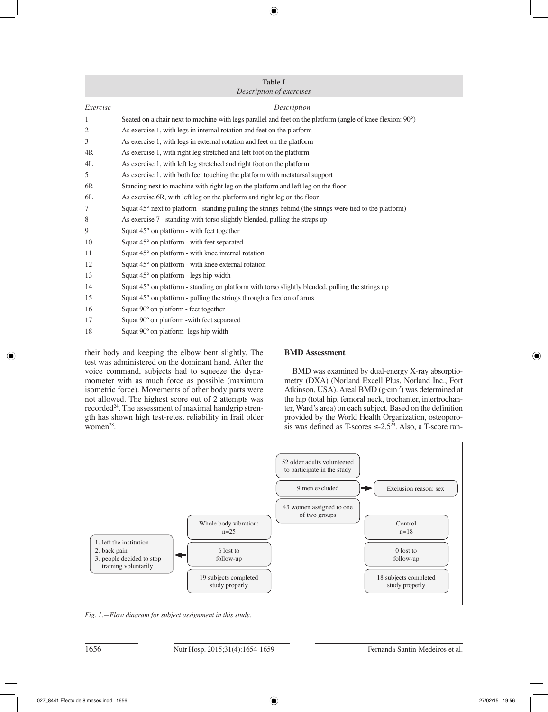| <b>Table I</b><br>Description of exercises |                                                                                                            |  |  |  |  |  |  |
|--------------------------------------------|------------------------------------------------------------------------------------------------------------|--|--|--|--|--|--|
|                                            |                                                                                                            |  |  |  |  |  |  |
| Exercise                                   | Description                                                                                                |  |  |  |  |  |  |
| 1                                          | Seated on a chair next to machine with legs parallel and feet on the platform (angle of knee flexion: 90°) |  |  |  |  |  |  |
| 2                                          | As exercise 1, with legs in internal rotation and feet on the platform                                     |  |  |  |  |  |  |
| 3                                          | As exercise 1, with legs in external rotation and feet on the platform                                     |  |  |  |  |  |  |
| 4R                                         | As exercise 1, with right leg stretched and left foot on the platform                                      |  |  |  |  |  |  |
| 4L                                         | As exercise 1, with left leg stretched and right foot on the platform                                      |  |  |  |  |  |  |
| 5                                          | As exercise 1, with both feet touching the platform with metatarsal support                                |  |  |  |  |  |  |
| 6R                                         | Standing next to machine with right leg on the platform and left leg on the floor                          |  |  |  |  |  |  |
| 6L                                         | As exercise 6R, with left leg on the platform and right leg on the floor                                   |  |  |  |  |  |  |
| 7                                          | Squat 45° next to platform - standing pulling the strings behind (the strings were tied to the platform)   |  |  |  |  |  |  |
| 8                                          | As exercise 7 - standing with torso slightly blended, pulling the straps up                                |  |  |  |  |  |  |
| 9                                          | Squat 45° on platform - with feet together                                                                 |  |  |  |  |  |  |
| 10                                         | Squat 45° on platform - with feet separated                                                                |  |  |  |  |  |  |
| 11                                         | Squat 45° on platform - with knee internal rotation                                                        |  |  |  |  |  |  |
| 12                                         | Squat 45° on platform - with knee external rotation                                                        |  |  |  |  |  |  |
| 13                                         | Squat 45° on platform - legs hip-width                                                                     |  |  |  |  |  |  |
| 14                                         | Squat 45° on platform - standing on platform with torso slightly blended, pulling the strings up           |  |  |  |  |  |  |
| 15                                         | Squat 45° on platform - pulling the strings through a flexion of arms                                      |  |  |  |  |  |  |
| 16                                         | Squat 90° on platform - feet together                                                                      |  |  |  |  |  |  |
| 17                                         | Squat 90° on platform -with feet separated                                                                 |  |  |  |  |  |  |
| 18                                         | Squat 90° on platform -legs hip-width                                                                      |  |  |  |  |  |  |

their body and keeping the elbow bent slightly. The test was administered on the dominant hand. After the voice command, subjects had to squeeze the dynamometer with as much force as possible (maximum isometric force). Movements of other body parts were not allowed. The highest score out of 2 attempts was recorded<sup>24</sup>. The assessment of maximal handgrip strength has shown high test-retest reliability in frail older women $28$ .

## **BMD Assessment**

BMD was examined by dual-energy X-ray absorptiometry (DXA) (Norland Excell Plus, Norland Inc., Fort Atkinson, USA). Areal BMD (g·cm<sup>-2</sup>) was determined at the hip (total hip, femoral neck, trochanter, intertrochanter, Ward's area) on each subject. Based on the definition provided by the World Health Organization, osteoporosis was defined as T-scores  $\leq$ -2.5<sup>29</sup>. Also, a T-score ran-



*Fig. 1.—Flow diagram for subject assignment in this study.*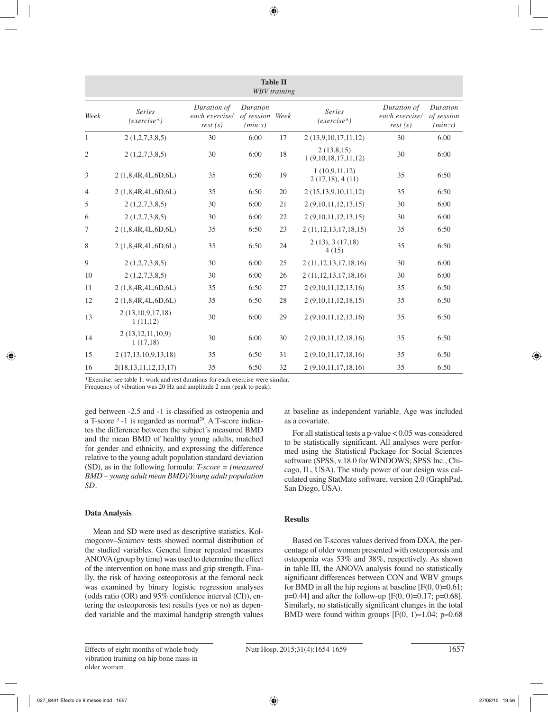| <b>Table II</b><br><b>WBV</b> training |                                  |                                          |                                        |    |                                   |                                          |                                   |  |  |  |  |  |
|----------------------------------------|----------------------------------|------------------------------------------|----------------------------------------|----|-----------------------------------|------------------------------------------|-----------------------------------|--|--|--|--|--|
| Week                                   | <b>Series</b><br>$(exercise*)$   | Duration of<br>each exercise/<br>rest(s) | Duration<br>of session Week<br>(min:s) |    | <b>Series</b><br>$(exercise*)$    | Duration of<br>each exercise/<br>rest(s) | Duration<br>of session<br>(min:s) |  |  |  |  |  |
| 1                                      | 2(1,2,7,3,8,5)                   | 30                                       | 6:00                                   | 17 | 2 (13,9,10,17,11,12)              | 30                                       | 6:00                              |  |  |  |  |  |
| 2                                      | 2(1,2,7,3,8,5)                   | 30                                       | 6:00                                   | 18 | 2(13,8,15)<br>1(9,10,18,17,11,12) | 30                                       | 6:00                              |  |  |  |  |  |
| 3                                      | 2 (1,8,4R,4L,6D,6L)              | 35                                       | 6:50                                   | 19 | 1(10,9,11,12)<br>2(17,18), 4(11)  | 35                                       | 6:50                              |  |  |  |  |  |
| $\overline{4}$                         | 2(1,8,4R,4L,6D,6L)               | 35                                       | 6:50                                   | 20 | 2(15,13,9,10,11,12)               | 35                                       | 6:50                              |  |  |  |  |  |
| 5                                      | 2(1,2,7,3,8,5)                   | 30                                       | 6:00                                   | 21 | 2 (9,10,11,12,13,15)              | 30                                       | 6:00                              |  |  |  |  |  |
| 6                                      | 2(1,2,7,3,8,5)                   | 30                                       | 6:00                                   | 22 | 2 (9,10,11,12,13,15)              | 30                                       | 6:00                              |  |  |  |  |  |
| 7                                      | 2 (1,8,4R,4L,6D,6L)              | 35                                       | 6:50                                   | 23 | 2(11,12,13,17,18,15)              | 35                                       | 6:50                              |  |  |  |  |  |
| 8                                      | 2(1,8,4R,4L,6D,6L)               | 35                                       | 6:50                                   | 24 | 2(13), 3(17,18)<br>4(15)          | 35                                       | 6:50                              |  |  |  |  |  |
| 9                                      | 2(1,2,7,3,8,5)                   | 30                                       | 6:00                                   | 25 | 2 (11, 12, 13, 17, 18, 16)        | 30                                       | 6:00                              |  |  |  |  |  |
| 10                                     | 2(1,2,7,3,8,5)                   | 30                                       | 6:00                                   | 26 | 2 (11, 12, 13, 17, 18, 16)        | 30                                       | 6:00                              |  |  |  |  |  |
| 11                                     | 2(1,8,4R,4L,6D,6L)               | 35                                       | 6:50                                   | 27 | 2(9,10,11,12,13,16)               | 35                                       | 6:50                              |  |  |  |  |  |
| 12                                     | 2 (1,8,4R,4L,6D,6L)              | 35                                       | 6:50                                   | 28 | 2(9,10,11,12,18,15)               | 35                                       | 6:50                              |  |  |  |  |  |
| 13                                     | 2(13,10,9,17,18)<br>1(11,12)     | 30                                       | 6:00                                   | 29 | 2 (9,10,11,12,13,16)              | 35                                       | 6:50                              |  |  |  |  |  |
| 14                                     | 2(13, 12, 11, 10, 9)<br>1(17,18) | 30                                       | 6:00                                   | 30 | 2(9,10,11,12,18,16)               | 35                                       | 6:50                              |  |  |  |  |  |
| 15                                     | 2 (17,13,10,9,13,18)             | 35                                       | 6:50                                   | 31 | 2 (9,10,11,17,18,16)              | 35                                       | 6:50                              |  |  |  |  |  |
| 16                                     | 2(18, 13, 11, 12, 13, 17)        | 35                                       | 6:50                                   | 32 | 2 (9,10,11,17,18,16)              | 35                                       | 6:50                              |  |  |  |  |  |

\*Exercise: see table 1; work and rest durations for each exercise were similar.

Frequency of vibration was 20 Hz and amplitude 2 mm (peak to peak).

ged between -2.5 and -1 is classified as osteopenia and a T-score  $3 - 1$  is regarded as normal<sup>29</sup>. A T-score indicates the difference between the subject´s measured BMD and the mean BMD of healthy young adults, matched for gender and ethnicity, and expressing the difference relative to the young adult population standard deviation (SD), as in the following formula: *T-score = (measured BMD – young adult mean BMD)/Young adult population SD.*

# **Data Analysis**

Mean and SD were used as descriptive statistics. Kolmogorov–Smirnov tests showed normal distribution of the studied variables. General linear repeated measures ANOVA (group by time) was used to determine the effect of the intervention on bone mass and grip strength. Finally, the risk of having osteoporosis at the femoral neck was examined by binary logistic regression analyses (odds ratio (OR) and 95% confidence interval (CI)), entering the osteoporosis test results (yes or no) as depended variable and the maximal handgrip strength values at baseline as independent variable. Age was included as a covariate.

For all statistical tests a p-value < 0.05 was considered to be statistically significant. All analyses were performed using the Statistical Package for Social Sciences software (SPSS, v.18.0 for WINDOWS; SPSS Inc., Chicago, IL, USA). The study power of our design was calculated using StatMate software, version 2.0 (GraphPad, San Diego, USA).

# **Results**

Based on T-scores values derived from DXA, the percentage of older women presented with osteoporosis and osteopenia was 53% and 38%, respectively. As shown in table III, the ANOVA analysis found no statistically significant differences between CON and WBV groups for BMD in all the hip regions at baseline  $[F(0, 0)=0.61;$  $p=0.44$ ] and after the follow-up [F(0, 0)=0.17; p=0.68]. Similarly, no statistically significant changes in the total BMD were found within groups  $[F(0, 1)=1.04; p=0.68]$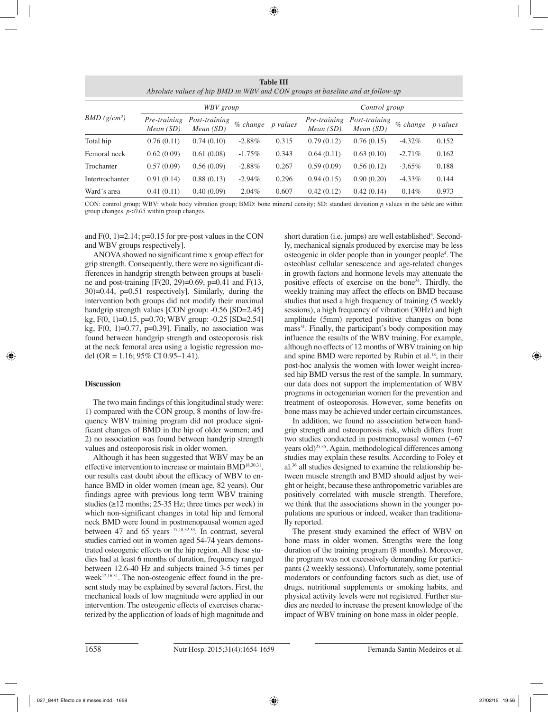| Absolute values of hip BMD in WBV and CON groups at baseline and at follow-up |                          |                              |           |                 |                          |                           |           |                 |  |  |
|-------------------------------------------------------------------------------|--------------------------|------------------------------|-----------|-----------------|--------------------------|---------------------------|-----------|-----------------|--|--|
|                                                                               | WBV group                |                              |           |                 | Control group            |                           |           |                 |  |  |
| BMD(g/cm <sup>2</sup> )                                                       | Pre-training<br>Mean(SD) | Post-training<br>Mean $(SD)$ | % change  | <i>p</i> values | Pre-training<br>Mean(SD) | Post-training<br>Mean(SD) | % change  | <i>p</i> values |  |  |
| Total hip                                                                     | 0.76(0.11)               | 0.74(0.10)                   | $-2.88%$  | 0.315           | 0.79(0.12)               | 0.76(0.15)                | $-4.32\%$ | 0.152           |  |  |
| Femoral neck                                                                  | 0.62(0.09)               | 0.61(0.08)                   | $-1.75\%$ | 0.343           | 0.64(0.11)               | 0.63(0.10)                | $-2.71\%$ | 0.162           |  |  |
| Trochanter                                                                    | 0.57(0.09)               | 0.56(0.09)                   | $-2.88%$  | 0.267           | 0.59(0.09)               | 0.56(0.12)                | $-3.65\%$ | 0.188           |  |  |
| Intertrochanter                                                               | 0.91(0.14)               | 0.88(0.13)                   | $-2.94\%$ | 0.296           | 0.94(0.15)               | 0.90(0.20)                | $-4.33\%$ | 0.144           |  |  |
| Ward's area                                                                   | 0.41(0.11)               | 0.40(0.09)                   | $-2.04\%$ | 0.607           | 0.42(0.12)               | 0.42(0.14)                | $-0.14\%$ | 0.973           |  |  |

**Table III**

CON: control group; WBV: whole body vibration group; BMD: bone mineral density; SD: standard deviation *p* values in the table are within group changes. *p<0.05* within group changes.

and  $F(0, 1)=2.14$ ; p=0.15 for pre-post values in the CON and WBV groups respectively].

ANOVA showed no significant time x group effect for grip strength. Consequently, there were no significant differences in handgrip strength between groups at baseline and post-training  $[F(20, 29)=0.69, p=0.41]$  and  $F(13, 10)$ 30)=0.44, p=0.51 respectively]. Similarly, during the intervention both groups did not modify their maximal handgrip strength values [CON group: -0.56 [SD=2.45] kg, F(0, 1)=0.15, p=0.70; WBV group: -0.25 [SD=2.54] kg,  $F(0, 1)=0.77$ ,  $p=0.39$ . Finally, no association was found between handgrip strength and osteoporosis risk at the neck femoral area using a logistic regression model (OR = 1.16; 95% CI 0.95–1.41).

## **Discussion**

The two main findings of this longitudinal study were: 1) compared with the CON group, 8 months of low-frequency WBV training program did not produce significant changes of BMD in the hip of older women; and 2) no association was found between handgrip strength values and osteoporosis risk in older women.

Although it has been suggested that WBV may be an effective intervention to increase or maintain BMD<sup>18,30,31</sup>, our results cast doubt about the efficacy of WBV to enhance BMD in older women (mean age, 82 years). Our findings agree with previous long term WBV training studies  $(\geq 12 \text{ months}; 25-35 \text{ Hz};$  three times per week) in which non-significant changes in total hip and femoral neck BMD were found in postmenopausal women aged between 47 and 65 years 17,18,32,33. In contrast, several studies carried out in women aged 54-74 years demonstrated osteogenic effects on the hip region. All these studies had at least 6 months of duration, frequency ranged between 12.6-40 Hz and subjects trained 3-5 times per week $12,16,31$ . The non-osteogenic effect found in the present study may be explained by several factors. First, the mechanical loads of low magnitude were applied in our intervention. The osteogenic effects of exercises characterized by the application of loads of high magnitude and

short duration (i.e. jumps) are well established<sup>4</sup>. Secondly, mechanical signals produced by exercise may be less osteogenic in older people than in younger people4 . The osteoblast cellular senescence and age-related changes in growth factors and hormone levels may attenuate the positive effects of exercise on the bone34. Thirdly, the weekly training may affect the effects on BMD because studies that used a high frequency of training (5 weekly sessions), a high frequency of vibration (30Hz) and high amplitude (5mm) reported positive changes on bone mass<sup>31</sup>. Finally, the participant's body composition may influence the results of the WBV training. For example, although no effects of 12 months of WBV training on hip and spine BMD were reported by Rubin et al.18, in their post-hoc analysis the women with lower weight increased hip BMD versus the rest of the sample. In summary, our data does not support the implementation of WBV programs in octogenarian women for the prevention and treatment of osteoporosis. However, some benefits on bone mass may be achieved under certain circumstances.

In addition, we found no association between handgrip strength and osteoporosis risk, which differs from two studies conducted in postmenopausal women (~67 years old)25,35. Again, methodological differences among studies may explain these results. According to Foley et al.36 all studies designed to examine the relationship between muscle strength and BMD should adjust by weight or height, because these anthropometric variables are positively correlated with muscle strength. Therefore, we think that the associations shown in the younger populations are spurious or indeed, weaker than traditionally reported.

The present study examined the effect of WBV on bone mass in older women. Strengths were the long duration of the training program (8 months). Moreover, the program was not excessively demanding for participants (2 weekly sessions). Unfortunately, some potential moderators or confounding factors such as diet, use of drugs, nutritional supplements or smoking habits, and physical activity levels were not registered. Further studies are needed to increase the present knowledge of the impact of WBV training on bone mass in older people.